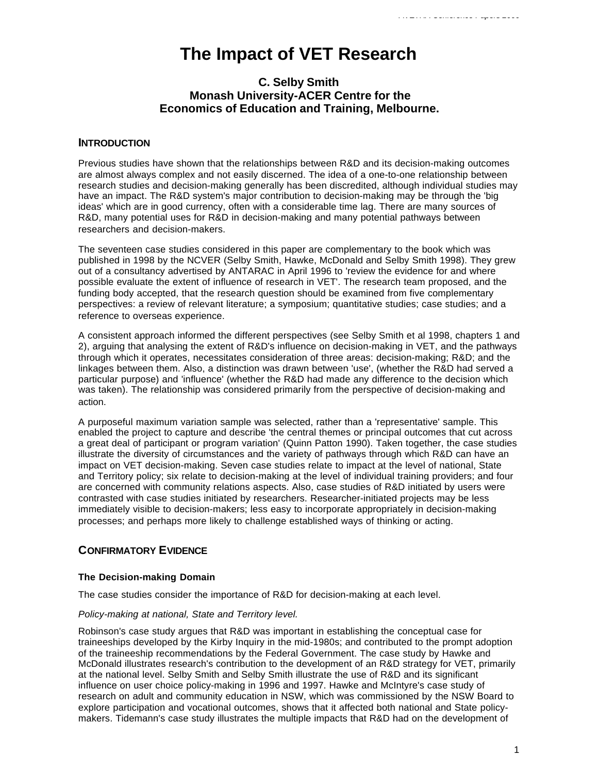# **The Impact of VET Research**

# **C. Selby Smith Monash University-ACER Centre for the Economics of Education and Training, Melbourne.**

## **INTRODUCTION**

Previous studies have shown that the relationships between R&D and its decision-making outcomes are almost always complex and not easily discerned. The idea of a one-to-one relationship between research studies and decision-making generally has been discredited, although individual studies may have an impact. The R&D system's major contribution to decision-making may be through the 'big ideas' which are in good currency, often with a considerable time lag. There are many sources of R&D, many potential uses for R&D in decision-making and many potential pathways between researchers and decision-makers.

The seventeen case studies considered in this paper are complementary to the book which was published in 1998 by the NCVER (Selby Smith, Hawke, McDonald and Selby Smith 1998). They grew out of a consultancy advertised by ANTARAC in April 1996 to 'review the evidence for and where possible evaluate the extent of influence of research in VET'. The research team proposed, and the funding body accepted, that the research question should be examined from five complementary perspectives: a review of relevant literature; a symposium; quantitative studies; case studies; and a reference to overseas experience.

A consistent approach informed the different perspectives (see Selby Smith et al 1998, chapters 1 and 2), arguing that analysing the extent of R&D's influence on decision-making in VET, and the pathways through which it operates, necessitates consideration of three areas: decision-making; R&D; and the linkages between them. Also, a distinction was drawn between 'use', (whether the R&D had served a particular purpose) and 'influence' (whether the R&D had made any difference to the decision which was taken). The relationship was considered primarily from the perspective of decision-making and action.

A purposeful maximum variation sample was selected, rather than a 'representative' sample. This enabled the project to capture and describe 'the central themes or principal outcomes that cut across a great deal of participant or program variation' (Quinn Patton 1990). Taken together, the case studies illustrate the diversity of circumstances and the variety of pathways through which R&D can have an impact on VET decision-making. Seven case studies relate to impact at the level of national, State and Territory policy; six relate to decision-making at the level of individual training providers; and four are concerned with community relations aspects. Also, case studies of R&D initiated by users were contrasted with case studies initiated by researchers. Researcher-initiated projects may be less immediately visible to decision-makers; less easy to incorporate appropriately in decision-making processes; and perhaps more likely to challenge established ways of thinking or acting.

# **CONFIRMATORY EVIDENCE**

## **The Decision-making Domain**

The case studies consider the importance of R&D for decision-making at each level.

#### *Policy-making at national, State and Territory level.*

Robinson's case study argues that R&D was important in establishing the conceptual case for traineeships developed by the Kirby Inquiry in the mid-1980s; and contributed to the prompt adoption of the traineeship recommendations by the Federal Government. The case study by Hawke and McDonald illustrates research's contribution to the development of an R&D strategy for VET, primarily at the national level. Selby Smith and Selby Smith illustrate the use of R&D and its significant influence on user choice policy-making in 1996 and 1997. Hawke and McIntyre's case study of research on adult and community education in NSW, which was commissioned by the NSW Board to explore participation and vocational outcomes, shows that it affected both national and State policymakers. Tidemann's case study illustrates the multiple impacts that R&D had on the development of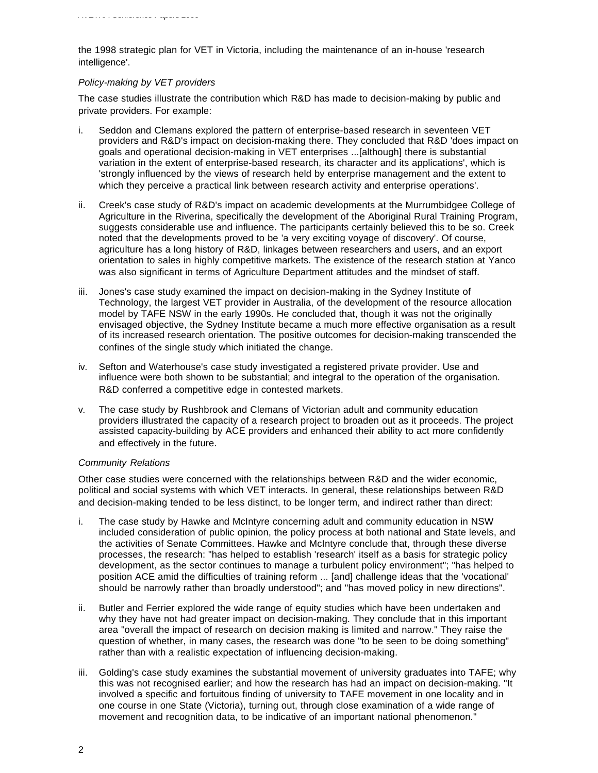the 1998 strategic plan for VET in Victoria, including the maintenance of an in-house 'research intelligence'.

#### *Policy-making by VET providers*

The case studies illustrate the contribution which R&D has made to decision-making by public and private providers. For example:

- i. Seddon and Clemans explored the pattern of enterprise-based research in seventeen VET providers and R&D's impact on decision-making there. They concluded that R&D 'does impact on goals and operational decision-making in VET enterprises ...[although] there is substantial variation in the extent of enterprise-based research, its character and its applications', which is 'strongly influenced by the views of research held by enterprise management and the extent to which they perceive a practical link between research activity and enterprise operations'.
- ii. Creek's case study of R&D's impact on academic developments at the Murrumbidgee College of Agriculture in the Riverina, specifically the development of the Aboriginal Rural Training Program, suggests considerable use and influence. The participants certainly believed this to be so. Creek noted that the developments proved to be 'a very exciting voyage of discovery'. Of course, agriculture has a long history of R&D, linkages between researchers and users, and an export orientation to sales in highly competitive markets. The existence of the research station at Yanco was also significant in terms of Agriculture Department attitudes and the mindset of staff.
- iii. Jones's case study examined the impact on decision-making in the Sydney Institute of Technology, the largest VET provider in Australia, of the development of the resource allocation model by TAFE NSW in the early 1990s. He concluded that, though it was not the originally envisaged objective, the Sydney Institute became a much more effective organisation as a result of its increased research orientation. The positive outcomes for decision-making transcended the confines of the single study which initiated the change.
- iv. Sefton and Waterhouse's case study investigated a registered private provider. Use and influence were both shown to be substantial; and integral to the operation of the organisation. R&D conferred a competitive edge in contested markets.
- v. The case study by Rushbrook and Clemans of Victorian adult and community education providers illustrated the capacity of a research project to broaden out as it proceeds. The project assisted capacity-building by ACE providers and enhanced their ability to act more confidently and effectively in the future.

## *Community Relations*

Other case studies were concerned with the relationships between R&D and the wider economic, political and social systems with which VET interacts. In general, these relationships between R&D and decision-making tended to be less distinct, to be longer term, and indirect rather than direct:

- i. The case study by Hawke and McIntyre concerning adult and community education in NSW included consideration of public opinion, the policy process at both national and State levels, and the activities of Senate Committees. Hawke and McIntyre conclude that, through these diverse processes, the research: "has helped to establish 'research' itself as a basis for strategic policy development, as the sector continues to manage a turbulent policy environment"; "has helped to position ACE amid the difficulties of training reform ... [and] challenge ideas that the 'vocational' should be narrowly rather than broadly understood"; and "has moved policy in new directions".
- ii. Butler and Ferrier explored the wide range of equity studies which have been undertaken and why they have not had greater impact on decision-making. They conclude that in this important area "overall the impact of research on decision making is limited and narrow." They raise the question of whether, in many cases, the research was done "to be seen to be doing something" rather than with a realistic expectation of influencing decision-making.
- iii. Golding's case study examines the substantial movement of university graduates into TAFE; why this was not recognised earlier; and how the research has had an impact on decision-making. "It involved a specific and fortuitous finding of university to TAFE movement in one locality and in one course in one State (Victoria), turning out, through close examination of a wide range of movement and recognition data, to be indicative of an important national phenomenon."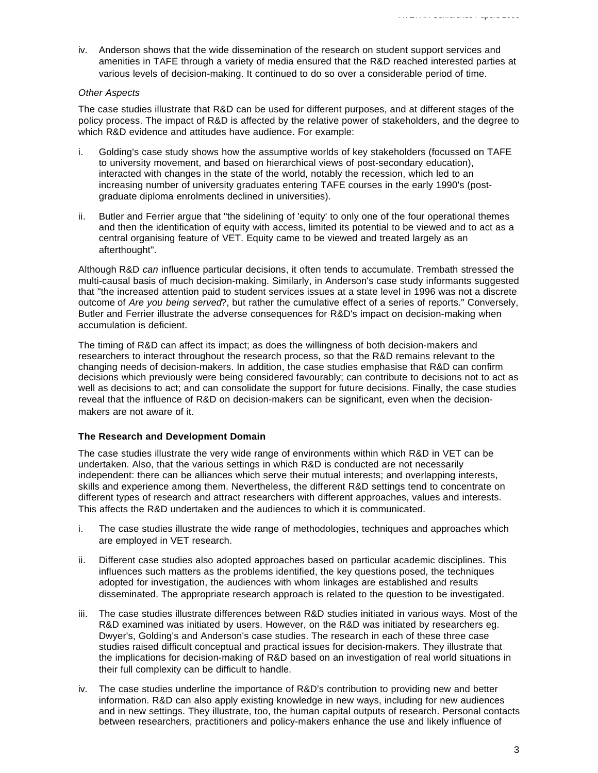iv. Anderson shows that the wide dissemination of the research on student support services and amenities in TAFE through a variety of media ensured that the R&D reached interested parties at various levels of decision-making. It continued to do so over a considerable period of time.

#### *Other Aspects*

The case studies illustrate that R&D can be used for different purposes, and at different stages of the policy process. The impact of R&D is affected by the relative power of stakeholders, and the degree to which R&D evidence and attitudes have audience. For example:

- i. Golding's case study shows how the assumptive worlds of key stakeholders (focussed on TAFE to university movement, and based on hierarchical views of post-secondary education), interacted with changes in the state of the world, notably the recession, which led to an increasing number of university graduates entering TAFE courses in the early 1990's (postgraduate diploma enrolments declined in universities).
- ii. Butler and Ferrier argue that "the sidelining of 'equity' to only one of the four operational themes and then the identification of equity with access, limited its potential to be viewed and to act as a central organising feature of VET. Equity came to be viewed and treated largely as an afterthought".

Although R&D *can* influence particular decisions, it often tends to accumulate. Trembath stressed the multi-causal basis of much decision-making. Similarly, in Anderson's case study informants suggested that "the increased attention paid to student services issues at a state level in 1996 was not a discrete outcome of *Are you being served*?, but rather the cumulative effect of a series of reports." Conversely, Butler and Ferrier illustrate the adverse consequences for R&D's impact on decision-making when accumulation is deficient.

The timing of R&D can affect its impact; as does the willingness of both decision-makers and researchers to interact throughout the research process, so that the R&D remains relevant to the changing needs of decision-makers. In addition, the case studies emphasise that R&D can confirm decisions which previously were being considered favourably; can contribute to decisions not to act as well as decisions to act; and can consolidate the support for future decisions. Finally, the case studies reveal that the influence of R&D on decision-makers can be significant, even when the decisionmakers are not aware of it.

## **The Research and Development Domain**

The case studies illustrate the very wide range of environments within which R&D in VET can be undertaken. Also, that the various settings in which R&D is conducted are not necessarily independent: there can be alliances which serve their mutual interests; and overlapping interests, skills and experience among them. Nevertheless, the different R&D settings tend to concentrate on different types of research and attract researchers with different approaches, values and interests. This affects the R&D undertaken and the audiences to which it is communicated.

- i. The case studies illustrate the wide range of methodologies, techniques and approaches which are employed in VET research.
- ii. Different case studies also adopted approaches based on particular academic disciplines. This influences such matters as the problems identified, the key questions posed, the techniques adopted for investigation, the audiences with whom linkages are established and results disseminated. The appropriate research approach is related to the question to be investigated.
- iii. The case studies illustrate differences between R&D studies initiated in various ways. Most of the R&D examined was initiated by users. However, on the R&D was initiated by researchers eg. Dwyer's, Golding's and Anderson's case studies. The research in each of these three case studies raised difficult conceptual and practical issues for decision-makers. They illustrate that the implications for decision-making of R&D based on an investigation of real world situations in their full complexity can be difficult to handle.
- iv. The case studies underline the importance of R&D's contribution to providing new and better information. R&D can also apply existing knowledge in new ways, including for new audiences and in new settings. They illustrate, too, the human capital outputs of research. Personal contacts between researchers, practitioners and policy-makers enhance the use and likely influence of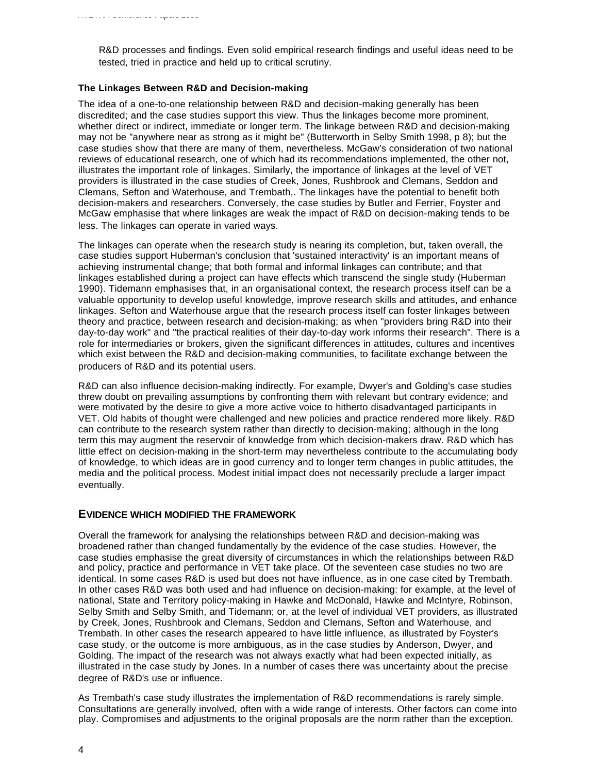R&D processes and findings. Even solid empirical research findings and useful ideas need to be tested, tried in practice and held up to critical scrutiny.

#### **The Linkages Between R&D and Decision-making**

The idea of a one-to-one relationship between R&D and decision-making generally has been discredited; and the case studies support this view. Thus the linkages become more prominent, whether direct or indirect, immediate or longer term. The linkage between R&D and decision-making may not be "anywhere near as strong as it might be" (Butterworth in Selby Smith 1998, p 8); but the case studies show that there are many of them, nevertheless. McGaw's consideration of two national reviews of educational research, one of which had its recommendations implemented, the other not, illustrates the important role of linkages. Similarly, the importance of linkages at the level of VET providers is illustrated in the case studies of Creek, Jones, Rushbrook and Clemans, Seddon and Clemans, Sefton and Waterhouse, and Trembath,. The linkages have the potential to benefit both decision-makers and researchers. Conversely, the case studies by Butler and Ferrier, Foyster and McGaw emphasise that where linkages are weak the impact of R&D on decision-making tends to be less. The linkages can operate in varied ways.

The linkages can operate when the research study is nearing its completion, but, taken overall, the case studies support Huberman's conclusion that 'sustained interactivity' is an important means of achieving instrumental change; that both formal and informal linkages can contribute; and that linkages established during a project can have effects which transcend the single study (Huberman 1990). Tidemann emphasises that, in an organisational context, the research process itself can be a valuable opportunity to develop useful knowledge, improve research skills and attitudes, and enhance linkages. Sefton and Waterhouse argue that the research process itself can foster linkages between theory and practice, between research and decision-making; as when "providers bring R&D into their day-to-day work" and "the practical realities of their day-to-day work informs their research". There is a role for intermediaries or brokers, given the significant differences in attitudes, cultures and incentives which exist between the R&D and decision-making communities, to facilitate exchange between the producers of R&D and its potential users.

R&D can also influence decision-making indirectly. For example, Dwyer's and Golding's case studies threw doubt on prevailing assumptions by confronting them with relevant but contrary evidence; and were motivated by the desire to give a more active voice to hitherto disadvantaged participants in VET. Old habits of thought were challenged and new policies and practice rendered more likely. R&D can contribute to the research system rather than directly to decision-making; although in the long term this may augment the reservoir of knowledge from which decision-makers draw. R&D which has little effect on decision-making in the short-term may nevertheless contribute to the accumulating body of knowledge, to which ideas are in good currency and to longer term changes in public attitudes, the media and the political process. Modest initial impact does not necessarily preclude a larger impact eventually.

## **EVIDENCE WHICH MODIFIED THE FRAMEWORK**

Overall the framework for analysing the relationships between R&D and decision-making was broadened rather than changed fundamentally by the evidence of the case studies. However, the case studies emphasise the great diversity of circumstances in which the relationships between R&D and policy, practice and performance in VET take place. Of the seventeen case studies no two are identical. In some cases R&D is used but does not have influence, as in one case cited by Trembath. In other cases R&D was both used and had influence on decision-making: for example, at the level of national, State and Territory policy-making in Hawke and McDonald, Hawke and McIntyre, Robinson, Selby Smith and Selby Smith, and Tidemann; or, at the level of individual VET providers, as illustrated by Creek, Jones, Rushbrook and Clemans, Seddon and Clemans, Sefton and Waterhouse, and Trembath. In other cases the research appeared to have little influence, as illustrated by Foyster's case study, or the outcome is more ambiguous, as in the case studies by Anderson, Dwyer, and Golding. The impact of the research was not always exactly what had been expected initially, as illustrated in the case study by Jones. In a number of cases there was uncertainty about the precise degree of R&D's use or influence.

As Trembath's case study illustrates the implementation of R&D recommendations is rarely simple. Consultations are generally involved, often with a wide range of interests. Other factors can come into play. Compromises and adjustments to the original proposals are the norm rather than the exception.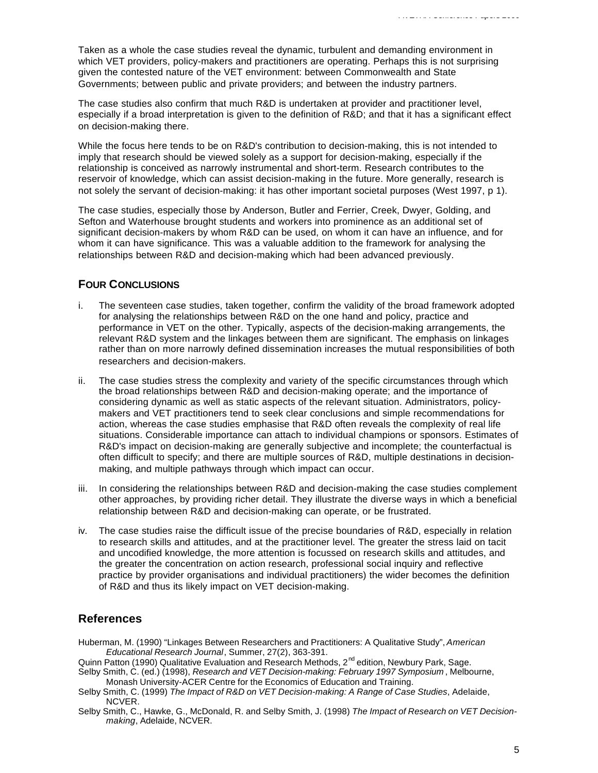Taken as a whole the case studies reveal the dynamic, turbulent and demanding environment in which VET providers, policy-makers and practitioners are operating. Perhaps this is not surprising given the contested nature of the VET environment: between Commonwealth and State Governments; between public and private providers; and between the industry partners.

The case studies also confirm that much R&D is undertaken at provider and practitioner level, especially if a broad interpretation is given to the definition of R&D; and that it has a significant effect on decision-making there.

While the focus here tends to be on R&D's contribution to decision-making, this is not intended to imply that research should be viewed solely as a support for decision-making, especially if the relationship is conceived as narrowly instrumental and short-term. Research contributes to the reservoir of knowledge, which can assist decision-making in the future. More generally, research is not solely the servant of decision-making: it has other important societal purposes (West 1997, p 1).

The case studies, especially those by Anderson, Butler and Ferrier, Creek, Dwyer, Golding, and Sefton and Waterhouse brought students and workers into prominence as an additional set of significant decision-makers by whom R&D can be used, on whom it can have an influence, and for whom it can have significance. This was a valuable addition to the framework for analysing the relationships between R&D and decision-making which had been advanced previously.

# **FOUR CONCLUSIONS**

- i. The seventeen case studies, taken together, confirm the validity of the broad framework adopted for analysing the relationships between R&D on the one hand and policy, practice and performance in VET on the other. Typically, aspects of the decision-making arrangements, the relevant R&D system and the linkages between them are significant. The emphasis on linkages rather than on more narrowly defined dissemination increases the mutual responsibilities of both researchers and decision-makers.
- ii. The case studies stress the complexity and variety of the specific circumstances through which the broad relationships between R&D and decision-making operate; and the importance of considering dynamic as well as static aspects of the relevant situation. Administrators, policymakers and VET practitioners tend to seek clear conclusions and simple recommendations for action, whereas the case studies emphasise that R&D often reveals the complexity of real life situations. Considerable importance can attach to individual champions or sponsors. Estimates of R&D's impact on decision-making are generally subjective and incomplete; the counterfactual is often difficult to specify; and there are multiple sources of R&D, multiple destinations in decisionmaking, and multiple pathways through which impact can occur.
- iii. In considering the relationships between R&D and decision-making the case studies complement other approaches, by providing richer detail. They illustrate the diverse ways in which a beneficial relationship between R&D and decision-making can operate, or be frustrated.
- iv. The case studies raise the difficult issue of the precise boundaries of R&D, especially in relation to research skills and attitudes, and at the practitioner level. The greater the stress laid on tacit and uncodified knowledge, the more attention is focussed on research skills and attitudes, and the greater the concentration on action research, professional social inquiry and reflective practice by provider organisations and individual practitioners) the wider becomes the definition of R&D and thus its likely impact on VET decision-making.

# **References**

- Huberman, M. (1990) "Linkages Between Researchers and Practitioners: A Qualitative Study", *American Educational Research Journal*, Summer, 27(2), 363-391.
- Quinn Patton (1990) Qualitative Evaluation and Research Methods, 2<sup>nd</sup> edition, Newbury Park, Sage.
- Selby Smith, C. (ed.) (1998), *Research and VET Decision-making: February 1997 Symposium* , Melbourne, Monash University-ACER Centre for the Economics of Education and Training.
- Selby Smith, C. (1999) *The Impact of R&D on VET Decision-making: A Range of Case Studies*, Adelaide, NCVER.
- Selby Smith, C., Hawke, G., McDonald, R. and Selby Smith, J. (1998) *The Impact of Research on VET Decisionmaking*, Adelaide, NCVER.